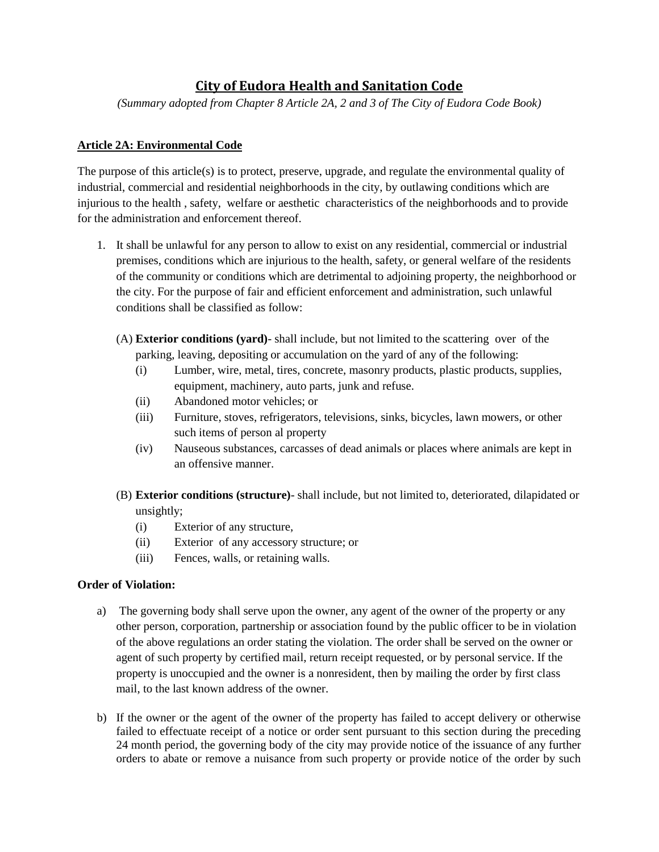# **City of Eudora Health and Sanitation Code**

*(Summary adopted from Chapter 8 Article 2A, 2 and 3 of The City of Eudora Code Book)*

## **Article 2A: Environmental Code**

The purpose of this article(s) is to protect, preserve, upgrade, and regulate the environmental quality of industrial, commercial and residential neighborhoods in the city, by outlawing conditions which are injurious to the health , safety, welfare or aesthetic characteristics of the neighborhoods and to provide for the administration and enforcement thereof.

- 1. It shall be unlawful for any person to allow to exist on any residential, commercial or industrial premises, conditions which are injurious to the health, safety, or general welfare of the residents of the community or conditions which are detrimental to adjoining property, the neighborhood or the city. For the purpose of fair and efficient enforcement and administration, such unlawful conditions shall be classified as follow:
	- (A) **Exterior conditions (yard)** shall include, but not limited to the scattering over of the parking, leaving, depositing or accumulation on the yard of any of the following:
		- (i) Lumber, wire, metal, tires, concrete, masonry products, plastic products, supplies, equipment, machinery, auto parts, junk and refuse.
		- (ii) Abandoned motor vehicles; or
		- (iii) Furniture, stoves, refrigerators, televisions, sinks, bicycles, lawn mowers, or other such items of person al property
		- (iv) Nauseous substances, carcasses of dead animals or places where animals are kept in an offensive manner.
	- (B) **Exterior conditions (structure)** shall include, but not limited to, deteriorated, dilapidated or unsightly;
		- (i) Exterior of any structure,
		- (ii) Exterior of any accessory structure; or
		- (iii) Fences, walls, or retaining walls.

### **Order of Violation:**

- a) The governing body shall serve upon the owner, any agent of the owner of the property or any other person, corporation, partnership or association found by the public officer to be in violation of the above regulations an order stating the violation. The order shall be served on the owner or agent of such property by certified mail, return receipt requested, or by personal service. If the property is unoccupied and the owner is a nonresident, then by mailing the order by first class mail, to the last known address of the owner.
- b) If the owner or the agent of the owner of the property has failed to accept delivery or otherwise failed to effectuate receipt of a notice or order sent pursuant to this section during the preceding 24 month period, the governing body of the city may provide notice of the issuance of any further orders to abate or remove a nuisance from such property or provide notice of the order by such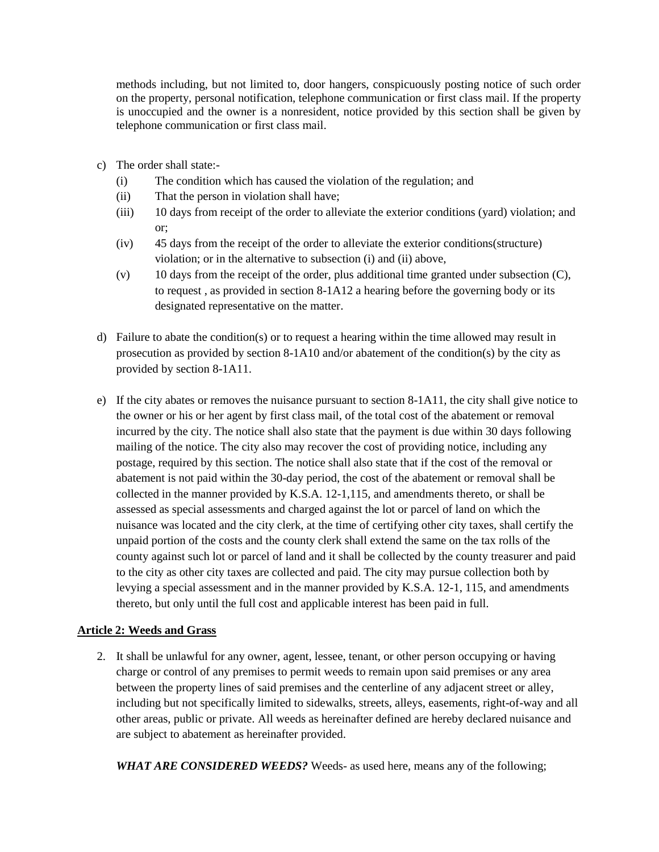methods including, but not limited to, door hangers, conspicuously posting notice of such order on the property, personal notification, telephone communication or first class mail. If the property is unoccupied and the owner is a nonresident, notice provided by this section shall be given by telephone communication or first class mail.

- c) The order shall state:-
	- (i) The condition which has caused the violation of the regulation; and
	- (ii) That the person in violation shall have;
	- (iii) 10 days from receipt of the order to alleviate the exterior conditions (yard) violation; and or;
	- (iv) 45 days from the receipt of the order to alleviate the exterior conditions(structure) violation; or in the alternative to subsection (i) and (ii) above,
	- $(v)$  10 days from the receipt of the order, plus additional time granted under subsection  $(C)$ , to request , as provided in section 8-1A12 a hearing before the governing body or its designated representative on the matter.
- d) Failure to abate the condition(s) or to request a hearing within the time allowed may result in prosecution as provided by section 8-1A10 and/or abatement of the condition(s) by the city as provided by section 8-1A11.
- e) If the city abates or removes the nuisance pursuant to section 8-1A11, the city shall give notice to the owner or his or her agent by first class mail, of the total cost of the abatement or removal incurred by the city. The notice shall also state that the payment is due within 30 days following mailing of the notice. The city also may recover the cost of providing notice, including any postage, required by this section. The notice shall also state that if the cost of the removal or abatement is not paid within the 30-day period, the cost of the abatement or removal shall be collected in the manner provided by K.S.A. 12-1,115, and amendments thereto, or shall be assessed as special assessments and charged against the lot or parcel of land on which the nuisance was located and the city clerk, at the time of certifying other city taxes, shall certify the unpaid portion of the costs and the county clerk shall extend the same on the tax rolls of the county against such lot or parcel of land and it shall be collected by the county treasurer and paid to the city as other city taxes are collected and paid. The city may pursue collection both by levying a special assessment and in the manner provided by K.S.A. 12-1, 115, and amendments thereto, but only until the full cost and applicable interest has been paid in full.

### **Article 2: Weeds and Grass**

2. It shall be unlawful for any owner, agent, lessee, tenant, or other person occupying or having charge or control of any premises to permit weeds to remain upon said premises or any area between the property lines of said premises and the centerline of any adjacent street or alley, including but not specifically limited to sidewalks, streets, alleys, easements, right-of-way and all other areas, public or private. All weeds as hereinafter defined are hereby declared nuisance and are subject to abatement as hereinafter provided.

*WHAT ARE CONSIDERED WEEDS?* Weeds- as used here, means any of the following;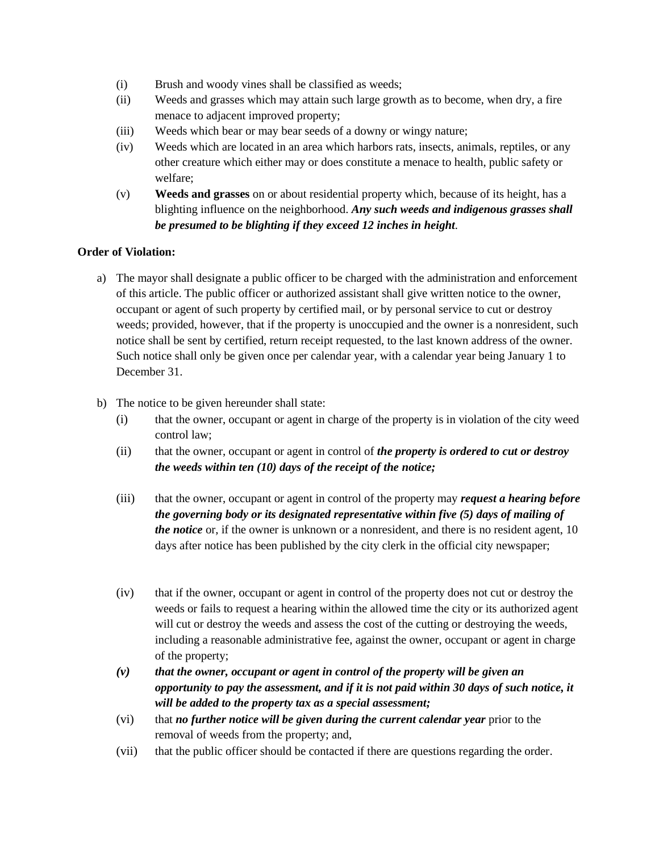- (i) Brush and woody vines shall be classified as weeds;
- (ii) Weeds and grasses which may attain such large growth as to become, when dry, a fire menace to adjacent improved property;
- (iii) Weeds which bear or may bear seeds of a downy or wingy nature;
- (iv) Weeds which are located in an area which harbors rats, insects, animals, reptiles, or any other creature which either may or does constitute a menace to health, public safety or welfare;
- (v) **Weeds and grasses** on or about residential property which, because of its height, has a blighting influence on the neighborhood. *Any such weeds and indigenous grasses shall be presumed to be blighting if they exceed 12 inches in height.*

#### **Order of Violation:**

- a) The mayor shall designate a public officer to be charged with the administration and enforcement of this article. The public officer or authorized assistant shall give written notice to the owner, occupant or agent of such property by certified mail, or by personal service to cut or destroy weeds; provided, however, that if the property is unoccupied and the owner is a nonresident, such notice shall be sent by certified, return receipt requested, to the last known address of the owner. Such notice shall only be given once per calendar year, with a calendar year being January 1 to December 31.
- b) The notice to be given hereunder shall state:
	- (i) that the owner, occupant or agent in charge of the property is in violation of the city weed control law;
	- (ii) that the owner, occupant or agent in control of *the property is ordered to cut or destroy the weeds within ten (10) days of the receipt of the notice;*
	- (iii) that the owner, occupant or agent in control of the property may *request a hearing before the governing body or its designated representative within five (5) days of mailing of the notice* or, if the owner is unknown or a nonresident, and there is no resident agent, 10 days after notice has been published by the city clerk in the official city newspaper;
	- (iv) that if the owner, occupant or agent in control of the property does not cut or destroy the weeds or fails to request a hearing within the allowed time the city or its authorized agent will cut or destroy the weeds and assess the cost of the cutting or destroying the weeds, including a reasonable administrative fee, against the owner, occupant or agent in charge of the property;
	- *(v) that the owner, occupant or agent in control of the property will be given an opportunity to pay the assessment, and if it is not paid within 30 days of such notice, it will be added to the property tax as a special assessment;*
	- (vi) that *no further notice will be given during the current calendar year* prior to the removal of weeds from the property; and,
	- (vii) that the public officer should be contacted if there are questions regarding the order.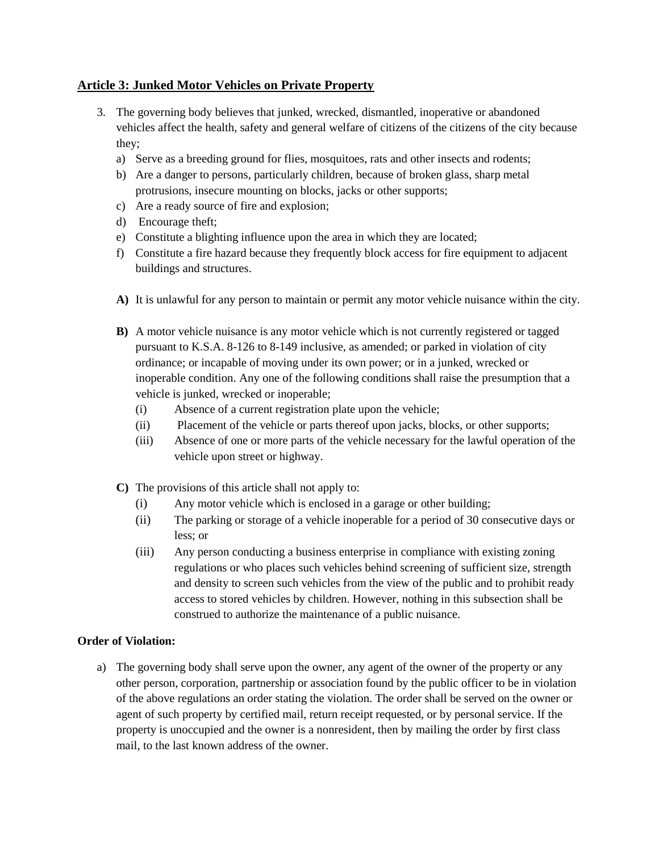## **Article 3: Junked Motor Vehicles on Private Property**

- 3. The governing body believes that junked, wrecked, dismantled, inoperative or abandoned vehicles affect the health, safety and general welfare of citizens of the citizens of the city because they;
	- a) Serve as a breeding ground for flies, mosquitoes, rats and other insects and rodents;
	- b) Are a danger to persons, particularly children, because of broken glass, sharp metal protrusions, insecure mounting on blocks, jacks or other supports;
	- c) Are a ready source of fire and explosion;
	- d) Encourage theft;
	- e) Constitute a blighting influence upon the area in which they are located;
	- f) Constitute a fire hazard because they frequently block access for fire equipment to adjacent buildings and structures.
	- **A)** It is unlawful for any person to maintain or permit any motor vehicle nuisance within the city.
	- **B)** A motor vehicle nuisance is any motor vehicle which is not currently registered or tagged pursuant to K.S.A. 8-126 to 8-149 inclusive, as amended; or parked in violation of city ordinance; or incapable of moving under its own power; or in a junked, wrecked or inoperable condition. Any one of the following conditions shall raise the presumption that a vehicle is junked, wrecked or inoperable;
		- (i) Absence of a current registration plate upon the vehicle;
		- (ii) Placement of the vehicle or parts thereof upon jacks, blocks, or other supports;
		- (iii) Absence of one or more parts of the vehicle necessary for the lawful operation of the vehicle upon street or highway.
	- **C)** The provisions of this article shall not apply to:
		- (i) Any motor vehicle which is enclosed in a garage or other building;
		- (ii) The parking or storage of a vehicle inoperable for a period of 30 consecutive days or less; or
		- (iii) Any person conducting a business enterprise in compliance with existing zoning regulations or who places such vehicles behind screening of sufficient size, strength and density to screen such vehicles from the view of the public and to prohibit ready access to stored vehicles by children. However, nothing in this subsection shall be construed to authorize the maintenance of a public nuisance.

### **Order of Violation:**

a) The governing body shall serve upon the owner, any agent of the owner of the property or any other person, corporation, partnership or association found by the public officer to be in violation of the above regulations an order stating the violation. The order shall be served on the owner or agent of such property by certified mail, return receipt requested, or by personal service. If the property is unoccupied and the owner is a nonresident, then by mailing the order by first class mail, to the last known address of the owner.